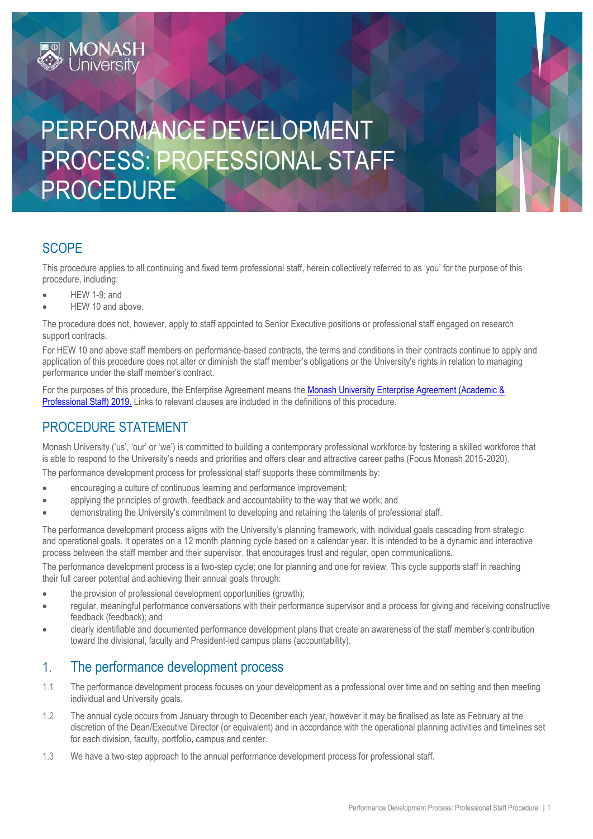# PERFORMANCE DEVELOPMENT PROCESS: PROFESSIONAL STAFF PROCEDURE

## **SCOPE**

This procedure applies to all continuing and fixed term professional staff, herein collectively referred to as 'you' for the purpose of this procedure, including:

- HEW 1-9; and
- HEW 10 and above.

**MONASH**<br>University

The procedure does not, however, apply to staff appointed to Senior Executive positions or professional staff engaged on research support contracts.

For HEW 10 and above staff members on performance-based contracts, the terms and conditions in their contracts continue to apply and application of this procedure does not alter or diminish the staff member's obligations or the University's rights in relation to managing performance under the staff member's contract.

For the purposes of this procedure, the Enterprise Agreement means the Monash University Enterprise Agreement (Academic & [Professional Staff\) 2019.](https://www.monash.edu/current-enterprise-agreements/academic-professional-2019) Links to relevant clauses are included in the definitions of this procedure.

## PROCEDURE STATEMENT

Monash University ('us', 'our' or 'we') is committed to building a contemporary professional workforce by fostering a skilled workforce that is able to respond to the University's needs and priorities and offers clear and attractive career paths (Focus Monash 2015-2020).

The performance development process for professional staff supports these commitments by:

- encouraging a culture of continuous learning and performance improvement;
- applying the principles of growth, feedback and accountability to the way that we work; and
- demonstrating the University's commitment to developing and retaining the talents of professional staff.

The performance development process aligns with the University's planning framework, with individual goals cascading from strategic and operational goals. It operates on a 12 month planning cycle based on a calendar year. It is intended to be a dynamic and interactive process between the staff member and their supervisor, that encourages trust and regular, open communications.

The performance development process is a two-step cycle; one for planning and one for review. This cycle supports staff in reaching their full career potential and achieving their annual goals through:

- the provision of professional development opportunities (growth);
- regular, meaningful performance conversations with their performance supervisor and a process for giving and receiving constructive feedback (feedback); and
- clearly identifiable and documented performance development plans that create an awareness of the staff member's contribution toward the divisional, faculty and President-led campus plans (accountability).

## 1. The performance development process

- 1.1 The performance development process focuses on your development as a professional over time and on setting and then meeting individual and University goals.
- 1.2 The annual cycle occurs from January through to December each year, however it may be finalised as late as February at the discretion of the Dean/Executive Director (or equivalent) and in accordance with the operational planning activities and timelines set for each division, faculty, portfolio, campus and center.
- 1.3 We have a two-step approach to the annual performance development process for professional staff.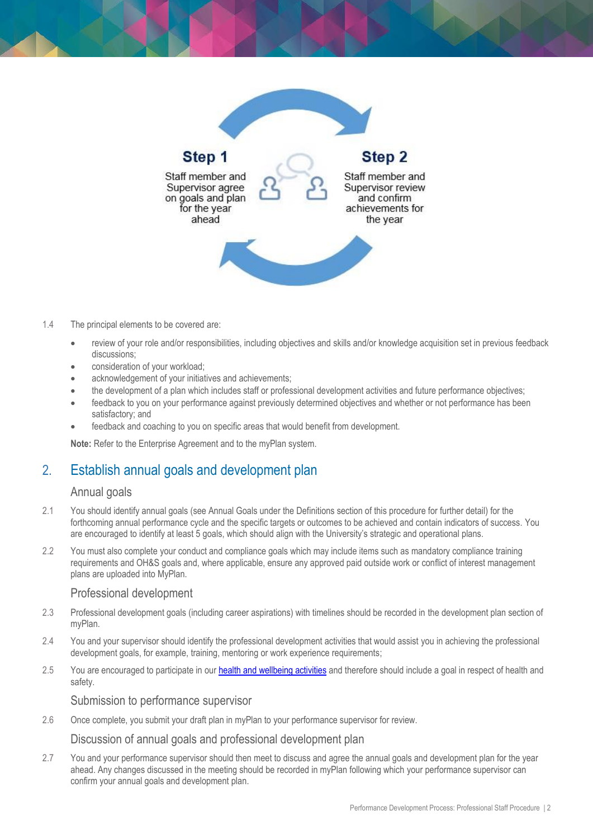

#### 1.4 The principal elements to be covered are:

- review of your role and/or responsibilities, including objectives and skills and/or knowledge acquisition set in previous feedback discussions;
- consideration of your workload;
- acknowledgement of your initiatives and achievements;
- the development of a plan which includes staff or professional development activities and future performance objectives;
- feedback to you on your performance against previously determined objectives and whether or not performance has been satisfactory; and
- feedback and coaching to you on specific areas that would benefit from development.

**Note:** Refer to the Enterprise Agreement and to the myPlan system.

## 2. Establish annual goals and development plan

#### Annual goals

- 2.1 You should identify annual goals (see Annual Goals under the Definitions section of this procedure for further detail) for the forthcoming annual performance cycle and the specific targets or outcomes to be achieved and contain indicators of success. You are encouraged to identify at least 5 goals, which should align with the University's strategic and operational plans.
- 2.2 You must also complete your conduct and compliance goals which may include items such as mandatory compliance training requirements and OH&S goals and, where applicable, ensure any approved paid outside work or conflict of interest management plans are uploaded into MyPlan.

#### Professional development

- 2.3 Professional development goals (including career aspirations) with timelines should be recorded in the development plan section of myPlan.
- 2.4 You and your supervisor should identify the professional development activities that would assist you in achieving the professional development goals, for example, training, mentoring or work experience requirements;
- 2.5 You are encouraged to participate in our **[health and wellbeing activities](https://www.monash.edu/ohs/health-and-wellbeing)** and therefore should include a goal in respect of health and safety.

Submission to performance supervisor

2.6 Once complete, you submit your draft plan in myPlan to your performance supervisor for review.

Discussion of annual goals and professional development plan

2.7 You and your performance supervisor should then meet to discuss and agree the annual goals and development plan for the year ahead. Any changes discussed in the meeting should be recorded in myPlan following which your performance supervisor can confirm your annual goals and development plan.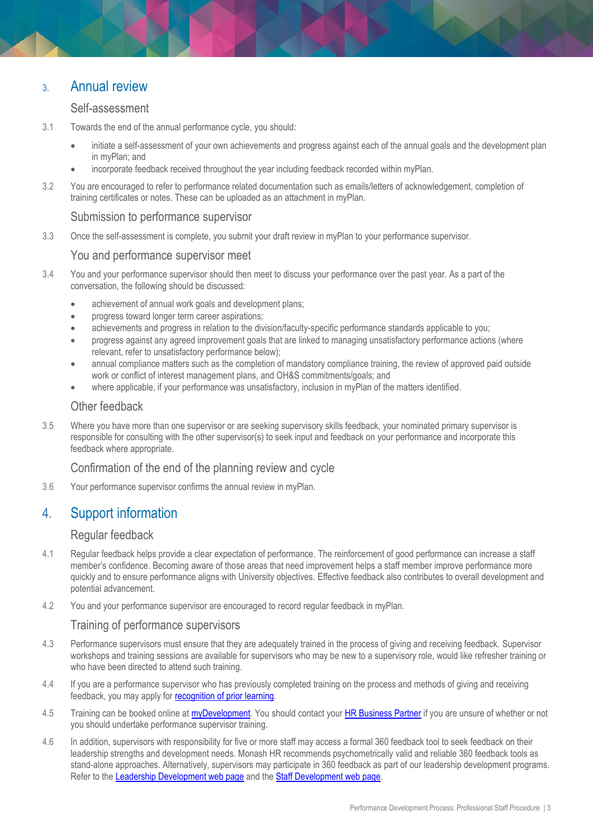## 3. Annual review

#### Self-assessment

- 3.1 Towards the end of the annual performance cycle, you should:
	- initiate a self-assessment of your own achievements and progress against each of the annual goals and the development plan in myPlan; and
	- incorporate feedback received throughout the year including feedback recorded within myPlan.
- 3.2 You are encouraged to refer to performance related documentation such as emails/letters of acknowledgement, completion of training certificates or notes. These can be uploaded as an attachment in myPlan.

#### Submission to performance supervisor

3.3 Once the self-assessment is complete, you submit your draft review in myPlan to your performance supervisor.

#### You and performance supervisor meet

- 3.4 You and your performance supervisor should then meet to discuss your performance over the past year. As a part of the conversation, the following should be discussed:
	- achievement of annual work goals and development plans;
	- progress toward longer term career aspirations;
	- achievements and progress in relation to the division/faculty-specific performance standards applicable to you;
	- progress against any agreed improvement goals that are linked to managing unsatisfactory performance actions (where relevant, refer to unsatisfactory performance below);
	- annual compliance matters such as the completion of mandatory compliance training, the review of approved paid outside work or conflict of interest management plans, and OH&S commitments/goals; and
	- where applicable, if your performance was unsatisfactory, inclusion in myPlan of the matters identified.

#### Other feedback

3.5 Where you have more than one supervisor or are seeking supervisory skills feedback, your nominated primary supervisor is responsible for consulting with the other supervisor(s) to seek input and feedback on your performance and incorporate this feedback where appropriate.

#### Confirmation of the end of the planning review and cycle

3.6 Your performance supervisor confirms the annual review in myPlan.

## 4. Support information

#### Regular feedback

- 4.1 Regular feedback helps provide a clear expectation of performance. The reinforcement of good performance can increase a staff member's confidence. Becoming aware of those areas that need improvement helps a staff member improve performance more quickly and to ensure performance aligns with University objectives. Effective feedback also contributes to overall development and potential advancement.
- 4.2 You and your performance supervisor are encouraged to record regular feedback in myPlan.

#### Training of performance supervisors

- 4.3 Performance supervisors must ensure that they are adequately trained in the process of giving and receiving feedback. Supervisor workshops and training sessions are available for supervisors who may be new to a supervisory role, would like refresher training or who have been directed to attend such training.
- 4.4 If you are a performance supervisor who has previously completed training on the process and methods of giving and receiving feedback, you may apply for [recognition of prior learning.](https://www.intranet.monash/talent-leadership-development/excel-in-your-role/recognition-and-prior-learning)
- 4.5 Training can be booked online at [myDevelopment.](https://monash.csod.com/samldefault.aspx) You should contact your [HR Business Partner](http://www.adm.monash.edu.au/human-resources/contact) if you are unsure of whether or not you should undertake performance supervisor training.
- 4.6 In addition, supervisors with responsibility for five or more staff may access a formal 360 feedback tool to seek feedback on their leadership strengths and development needs. Monash HR recommends psychometrically valid and reliable 360 feedback tools as stand-alone approaches. Alternatively, supervisors may participate in 360 feedback as part of our leadership development programs. Refer to the [Leadership Development web page](https://www.intranet.monash/talent-leadership-development) and the [Staff Development web page.](https://www.intranet.monash/talent-leadership-development)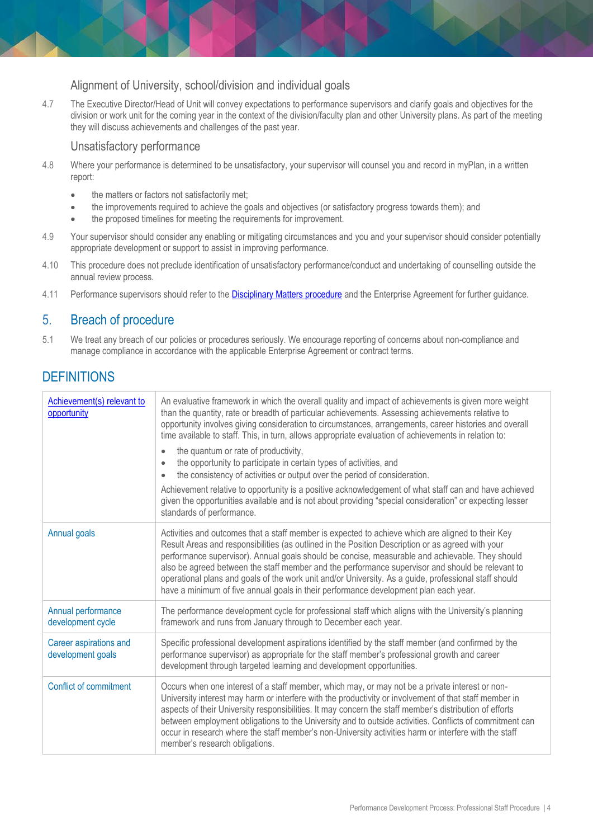### Alignment of University, school/division and individual goals

4.7 The Executive Director/Head of Unit will convey expectations to performance supervisors and clarify goals and objectives for the division or work unit for the coming year in the context of the division/faculty plan and other University plans. As part of the meeting they will discuss achievements and challenges of the past year.

#### Unsatisfactory performance

- 4.8 Where your performance is determined to be unsatisfactory, your supervisor will counsel you and record in myPlan, in a written report:
	- the matters or factors not satisfactorily met;
	- the improvements required to achieve the goals and objectives (or satisfactory progress towards them); and
	- the proposed timelines for meeting the requirements for improvement.
- 4.9 Your supervisor should consider any enabling or mitigating circumstances and you and your supervisor should consider potentially appropriate development or support to assist in improving performance.
- 4.10 This procedure does not preclude identification of unsatisfactory performance/conduct and undertaking of counselling outside the annual review process.
- 4.11 Performance supervisors should refer to the [Disciplinary Matters procedure](https://publicpolicydms.monash.edu/Monash/documents/1935674) and the Enterprise Agreement for further guidance.

## 5. Breach of procedure

5.1 We treat any breach of our policies or procedures seriously. We encourage reporting of concerns about non-compliance and manage compliance in accordance with the applicable Enterprise Agreement or contract terms.

## **DEFINITIONS**

| Achievement(s) relevant to<br>opportunity   | An evaluative framework in which the overall quality and impact of achievements is given more weight<br>than the quantity, rate or breadth of particular achievements. Assessing achievements relative to<br>opportunity involves giving consideration to circumstances, arrangements, career histories and overall<br>time available to staff. This, in turn, allows appropriate evaluation of achievements in relation to:<br>the quantum or rate of productivity,<br>$\bullet$<br>the opportunity to participate in certain types of activities, and<br>$\bullet$<br>the consistency of activities or output over the period of consideration.<br>Achievement relative to opportunity is a positive acknowledgement of what staff can and have achieved<br>given the opportunities available and is not about providing "special consideration" or expecting lesser<br>standards of performance. |
|---------------------------------------------|-----------------------------------------------------------------------------------------------------------------------------------------------------------------------------------------------------------------------------------------------------------------------------------------------------------------------------------------------------------------------------------------------------------------------------------------------------------------------------------------------------------------------------------------------------------------------------------------------------------------------------------------------------------------------------------------------------------------------------------------------------------------------------------------------------------------------------------------------------------------------------------------------------|
| Annual goals                                | Activities and outcomes that a staff member is expected to achieve which are aligned to their Key<br>Result Areas and responsibilities (as outlined in the Position Description or as agreed with your<br>performance supervisor). Annual goals should be concise, measurable and achievable. They should<br>also be agreed between the staff member and the performance supervisor and should be relevant to<br>operational plans and goals of the work unit and/or University. As a guide, professional staff should<br>have a minimum of five annual goals in their performance development plan each year.                                                                                                                                                                                                                                                                                      |
| Annual performance<br>development cycle     | The performance development cycle for professional staff which aligns with the University's planning<br>framework and runs from January through to December each year.                                                                                                                                                                                                                                                                                                                                                                                                                                                                                                                                                                                                                                                                                                                              |
| Career aspirations and<br>development goals | Specific professional development aspirations identified by the staff member (and confirmed by the<br>performance supervisor) as appropriate for the staff member's professional growth and career<br>development through targeted learning and development opportunities.                                                                                                                                                                                                                                                                                                                                                                                                                                                                                                                                                                                                                          |
| <b>Conflict of commitment</b>               | Occurs when one interest of a staff member, which may, or may not be a private interest or non-<br>University interest may harm or interfere with the productivity or involvement of that staff member in<br>aspects of their University responsibilities. It may concern the staff member's distribution of efforts<br>between employment obligations to the University and to outside activities. Conflicts of commitment can<br>occur in research where the staff member's non-University activities harm or interfere with the staff<br>member's research obligations.                                                                                                                                                                                                                                                                                                                          |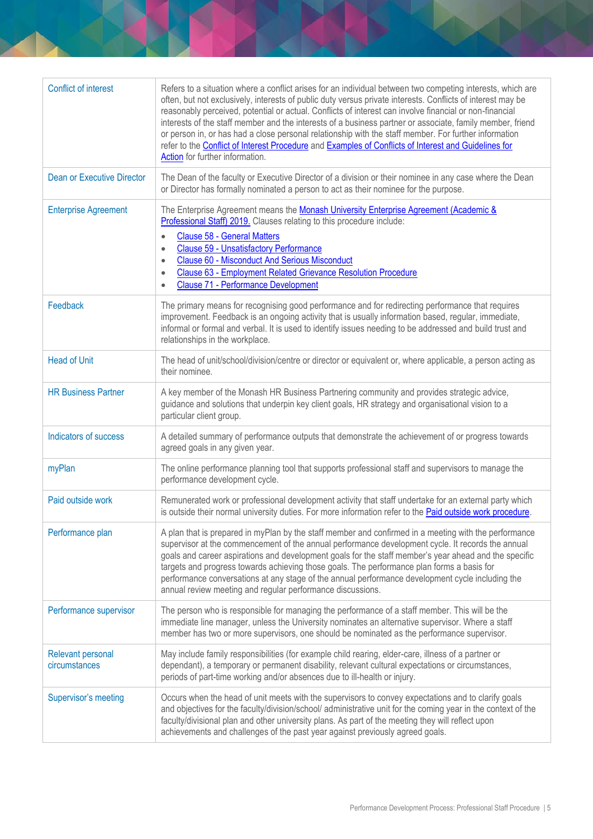| Refers to a situation where a conflict arises for an individual between two competing interests, which are<br>often, but not exclusively, interests of public duty versus private interests. Conflicts of interest may be<br>reasonably perceived, potential or actual. Conflicts of interest can involve financial or non-financial<br>interests of the staff member and the interests of a business partner or associate, family member, friend<br>or person in, or has had a close personal relationship with the staff member. For further information<br>refer to the Conflict of Interest Procedure and Examples of Conflicts of Interest and Guidelines for<br>Action for further information. |
|-------------------------------------------------------------------------------------------------------------------------------------------------------------------------------------------------------------------------------------------------------------------------------------------------------------------------------------------------------------------------------------------------------------------------------------------------------------------------------------------------------------------------------------------------------------------------------------------------------------------------------------------------------------------------------------------------------|
| The Dean of the faculty or Executive Director of a division or their nominee in any case where the Dean<br>or Director has formally nominated a person to act as their nominee for the purpose.                                                                                                                                                                                                                                                                                                                                                                                                                                                                                                       |
| The Enterprise Agreement means the Monash University Enterprise Agreement (Academic &<br>Professional Staff) 2019. Clauses relating to this procedure include:<br><b>Clause 58 - General Matters</b><br>$\bullet$<br><b>Clause 59 - Unsatisfactory Performance</b><br>$\bullet$<br><b>Clause 60 - Misconduct And Serious Misconduct</b><br>$\bullet$<br>Clause 63 - Employment Related Grievance Resolution Procedure<br>$\bullet$<br><b>Clause 71 - Performance Development</b><br>$\bullet$                                                                                                                                                                                                         |
| The primary means for recognising good performance and for redirecting performance that requires<br>improvement. Feedback is an ongoing activity that is usually information based, regular, immediate,<br>informal or formal and verbal. It is used to identify issues needing to be addressed and build trust and<br>relationships in the workplace.                                                                                                                                                                                                                                                                                                                                                |
| The head of unit/school/division/centre or director or equivalent or, where applicable, a person acting as<br>their nominee.                                                                                                                                                                                                                                                                                                                                                                                                                                                                                                                                                                          |
| A key member of the Monash HR Business Partnering community and provides strategic advice,<br>guidance and solutions that underpin key client goals, HR strategy and organisational vision to a<br>particular client group.                                                                                                                                                                                                                                                                                                                                                                                                                                                                           |
| A detailed summary of performance outputs that demonstrate the achievement of or progress towards<br>agreed goals in any given year.                                                                                                                                                                                                                                                                                                                                                                                                                                                                                                                                                                  |
| The online performance planning tool that supports professional staff and supervisors to manage the<br>performance development cycle.                                                                                                                                                                                                                                                                                                                                                                                                                                                                                                                                                                 |
| Remunerated work or professional development activity that staff undertake for an external party which<br>is outside their normal university duties. For more information refer to the <b>Paid outside work procedure</b> .                                                                                                                                                                                                                                                                                                                                                                                                                                                                           |
| A plan that is prepared in myPlan by the staff member and confirmed in a meeting with the performance<br>supervisor at the commencement of the annual performance development cycle. It records the annual<br>goals and career aspirations and development goals for the staff member's year ahead and the specific<br>targets and progress towards achieving those goals. The performance plan forms a basis for<br>performance conversations at any stage of the annual performance development cycle including the<br>annual review meeting and regular performance discussions.                                                                                                                   |
| The person who is responsible for managing the performance of a staff member. This will be the<br>immediate line manager, unless the University nominates an alternative supervisor. Where a staff<br>member has two or more supervisors, one should be nominated as the performance supervisor.                                                                                                                                                                                                                                                                                                                                                                                                      |
| May include family responsibilities (for example child rearing, elder-care, illness of a partner or<br>dependant), a temporary or permanent disability, relevant cultural expectations or circumstances,<br>periods of part-time working and/or absences due to ill-health or injury.                                                                                                                                                                                                                                                                                                                                                                                                                 |
| Occurs when the head of unit meets with the supervisors to convey expectations and to clarify goals<br>and objectives for the faculty/division/school/ administrative unit for the coming year in the context of the<br>faculty/divisional plan and other university plans. As part of the meeting they will reflect upon<br>achievements and challenges of the past year against previously agreed goals.                                                                                                                                                                                                                                                                                            |
|                                                                                                                                                                                                                                                                                                                                                                                                                                                                                                                                                                                                                                                                                                       |